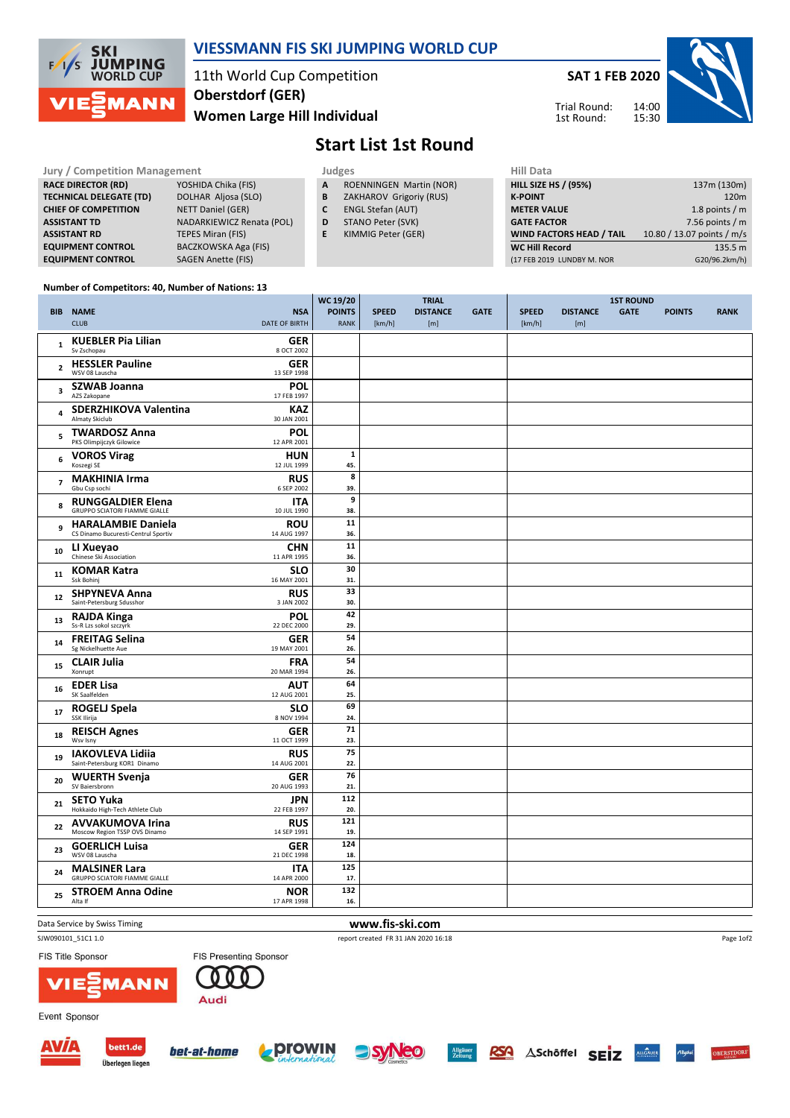

### VIESSMANN FIS SKI JUMPING WORLD CUP

11th World Cup Competition Women Large Hill Individual Oberstdorf (GER)

SAT 1 FEB 2020 14:00 Trial Round:

1st Round:

15:30



# Start List 1st Round

| <b>Jury / Competition Management</b> |                           |   | Judges                         |                    |  |  |  |
|--------------------------------------|---------------------------|---|--------------------------------|--------------------|--|--|--|
| <b>RACE DIRECTOR (RD)</b>            | YOSHIDA Chika (FIS)       | A | <b>ROENNINGEN Martin (NOR)</b> | <b>HILL SIZE H</b> |  |  |  |
| <b>TECHNICAL DELEGATE (TD)</b>       | DOLHAR Aljosa (SLO)       | B | ZAKHAROV Grigoriy (RUS)        | <b>K-POINT</b>     |  |  |  |
| <b>CHIEF OF COMPETITION</b>          | NETT Daniel (GER)         | C | <b>ENGL Stefan (AUT)</b>       | <b>METER VA</b>    |  |  |  |
| <b>ASSISTANT TD</b>                  | NADARKIEWICZ Renata (POL) | D | STANO Peter (SVK)              | <b>GATE FACT</b>   |  |  |  |
| <b>ASSISTANT RD</b>                  | <b>TEPES Miran (FIS)</b>  | Е | KIMMIG Peter (GER)             | <b>WIND FAC</b>    |  |  |  |
| <b>EQUIPMENT CONTROL</b>             | BACZKOWSKA Aga (FIS)      |   |                                | <b>WC Hill Re</b>  |  |  |  |
| <b>EQUIPMENT CONTROL</b>             | <b>SAGEN Anette (FIS)</b> |   |                                | (17 FEB 2019       |  |  |  |

 $\frac{1}{\sqrt{2}}$ 

- A ROENNINGEN Martin (NOR)
- **B** ZAKHAROV Grigoriy (RUS)<br>**C** ENGL Stefan (AUT)
- ENGL Stefan (AUT)
- D STANO Peter (SVK)
- E KIMMIG Peter (GER)

| нш рата                         |                            |
|---------------------------------|----------------------------|
| <b>HILL SIZE HS / (95%)</b>     | 137m (130m)                |
| <b>K-POINT</b>                  | 120m                       |
| <b>METER VALUE</b>              | 1.8 points $/m$            |
| <b>GATE FACTOR</b>              | 7.56 points $/m$           |
| <b>WIND FACTORS HEAD / TAIL</b> | 10.80 / 13.07 points / m/s |
| <b>WC Hill Record</b>           | 135.5 m                    |
| (17 FEB 2019 LUNDBY M. NOR      | G20/96.2km/h)              |
|                                 |                            |

#### Number of Competitors: 40, Number of Nations: 13

|                |                                                                               | WC 19/20      |              | <b>TRIAL</b>    |             |              |                 | <b>1ST ROUND</b> |               |             |
|----------------|-------------------------------------------------------------------------------|---------------|--------------|-----------------|-------------|--------------|-----------------|------------------|---------------|-------------|
|                | <b>BIB NAME</b><br><b>NSA</b>                                                 | <b>POINTS</b> | <b>SPEED</b> | <b>DISTANCE</b> | <b>GATE</b> | <b>SPEED</b> | <b>DISTANCE</b> | <b>GATE</b>      | <b>POINTS</b> | <b>RANK</b> |
|                | <b>CLUB</b><br><b>DATE OF BIRTH</b>                                           | <b>RANK</b>   | [km/h]       | [m]             |             | [km/h]       | [m]             |                  |               |             |
|                | <b>KUEBLER Pia Lilian</b><br><b>GER</b>                                       |               |              |                 |             |              |                 |                  |               |             |
| $\mathbf{1}$   | Sv Zschopau<br>8 OCT 2002                                                     |               |              |                 |             |              |                 |                  |               |             |
|                | <b>HESSLER Pauline</b><br><b>GER</b>                                          |               |              |                 |             |              |                 |                  |               |             |
| $\mathbf{2}$   | WSV 08 Lauscha<br>13 SEP 1998                                                 |               |              |                 |             |              |                 |                  |               |             |
|                | <b>POL</b><br><b>SZWAB Joanna</b>                                             |               |              |                 |             |              |                 |                  |               |             |
| 3              | AZS Zakopane<br>17 FEB 1997                                                   |               |              |                 |             |              |                 |                  |               |             |
|                | <b>SDERZHIKOVA Valentina</b><br><b>KAZ</b>                                    |               |              |                 |             |              |                 |                  |               |             |
| $\overline{a}$ | Almaty Skiclub<br>30 JAN 2001                                                 |               |              |                 |             |              |                 |                  |               |             |
| 5              | <b>TWARDOSZ Anna</b><br><b>POL</b>                                            |               |              |                 |             |              |                 |                  |               |             |
|                | PKS Olimpijczyk Gilowice<br>12 APR 2001                                       |               |              |                 |             |              |                 |                  |               |             |
| 6              | <b>HUN</b><br><b>VOROS Virag</b>                                              | $\mathbf{1}$  |              |                 |             |              |                 |                  |               |             |
|                | Koszegi SE<br>12 JUL 1999                                                     | 45.           |              |                 |             |              |                 |                  |               |             |
| $\overline{7}$ | <b>MAKHINIA Irma</b><br><b>RUS</b>                                            | 8             |              |                 |             |              |                 |                  |               |             |
|                | Gbu Csp sochi<br>6 SEP 2002                                                   | 39.           |              |                 |             |              |                 |                  |               |             |
| 8              | <b>ITA</b><br><b>RUNGGALDIER Elena</b>                                        | 9             |              |                 |             |              |                 |                  |               |             |
|                | <b>GRUPPO SCIATORI FIAMME GIALLE</b><br>10 JUL 1990                           | 38.           |              |                 |             |              |                 |                  |               |             |
| 9              | <b>ROU</b><br><b>HARALAMBIE Daniela</b>                                       | 11            |              |                 |             |              |                 |                  |               |             |
|                | CS Dinamo Bucuresti-Centrul Sportiv<br>14 AUG 1997                            | 36.           |              |                 |             |              |                 |                  |               |             |
| 10             | <b>CHN</b><br>LI Xueyao<br>Chinese Ski Association                            | 11            |              |                 |             |              |                 |                  |               |             |
|                | 11 APR 1995                                                                   | 36.           |              |                 |             |              |                 |                  |               |             |
| 11             | <b>SLO</b><br><b>KOMAR Katra</b><br>16 MAY 2001<br>Ssk Bohinj                 | 30<br>31.     |              |                 |             |              |                 |                  |               |             |
|                |                                                                               | 33            |              |                 |             |              |                 |                  |               |             |
| 12             | <b>SHPYNEVA Anna</b><br><b>RUS</b><br>Saint-Petersburg Sdusshor<br>3 JAN 2002 | 30.           |              |                 |             |              |                 |                  |               |             |
|                | <b>POL</b>                                                                    | 42            |              |                 |             |              |                 |                  |               |             |
| 13             | <b>RAJDA Kinga</b><br>Ss-R Lzs sokol szczyrk<br>22 DEC 2000                   | 29.           |              |                 |             |              |                 |                  |               |             |
|                | <b>FREITAG Selina</b><br><b>GER</b>                                           | 54            |              |                 |             |              |                 |                  |               |             |
| 14             | Sg Nickelhuette Aue<br>19 MAY 2001                                            | 26.           |              |                 |             |              |                 |                  |               |             |
| 15             | <b>CLAIR Julia</b><br><b>FRA</b>                                              | 54            |              |                 |             |              |                 |                  |               |             |
|                | 20 MAR 1994<br>Xonrupt                                                        | 26.           |              |                 |             |              |                 |                  |               |             |
| 16             | <b>AUT</b><br><b>EDER Lisa</b>                                                | 64            |              |                 |             |              |                 |                  |               |             |
|                | SK Saalfelden<br>12 AUG 2001                                                  | 25.           |              |                 |             |              |                 |                  |               |             |
| 17             | <b>ROGELJ Spela</b><br><b>SLO</b>                                             | 69            |              |                 |             |              |                 |                  |               |             |
|                | SSK Ilirija<br>8 NOV 1994                                                     | 24.           |              |                 |             |              |                 |                  |               |             |
| 18             | <b>REISCH Agnes</b><br><b>GER</b>                                             | 71            |              |                 |             |              |                 |                  |               |             |
|                | Wsv Isny<br>11 OCT 1999                                                       | 23.           |              |                 |             |              |                 |                  |               |             |
| 19             | <b>IAKOVLEVA Lidiia</b><br><b>RUS</b>                                         | 75            |              |                 |             |              |                 |                  |               |             |
|                | Saint-Petersburg KOR1 Dinamo<br>14 AUG 2001                                   | 22.<br>76     |              |                 |             |              |                 |                  |               |             |
| 20             | <b>GER</b><br><b>WUERTH Svenja</b><br>SV Baiersbronn<br>20 AUG 1993           | 21.           |              |                 |             |              |                 |                  |               |             |
|                | <b>JPN</b>                                                                    | 112           |              |                 |             |              |                 |                  |               |             |
| 21             | <b>SETO Yuka</b><br>Hokkaido High-Tech Athlete Club<br>22 FEB 1997            | 20.           |              |                 |             |              |                 |                  |               |             |
|                | <b>AVVAKUMOVA Irina</b><br><b>RUS</b>                                         | 121           |              |                 |             |              |                 |                  |               |             |
| 22             | Moscow Region TSSP OVS Dinamo<br>14 SEP 1991                                  | 19.           |              |                 |             |              |                 |                  |               |             |
|                | <b>GOERLICH Luisa</b><br><b>GER</b>                                           | 124           |              |                 |             |              |                 |                  |               |             |
| 23             | WSV 08 Lauscha<br>21 DEC 1998                                                 | 18.           |              |                 |             |              |                 |                  |               |             |
| 24             | <b>ITA</b><br><b>MALSINER Lara</b>                                            | 125           |              |                 |             |              |                 |                  |               |             |
|                | <b>GRUPPO SCIATORI FIAMME GIALLE</b><br>14 APR 2000                           | 17.           |              |                 |             |              |                 |                  |               |             |
| 25             | <b>STROEM Anna Odine</b><br><b>NOR</b>                                        | 132           |              |                 |             |              |                 |                  |               |             |
|                | 17 APR 1998<br>Alta If                                                        | 16.           |              |                 |             |              |                 |                  |               |             |

Data Service by Swiss Timing **WWW.fis-ski.com** 

FIS Title Sponsor

FIS Presenting Sponsor

SJW090101\_51C1 1.0 report created FR 31 JAN 2020 16:18

Page 1of2







Überlegen liegen